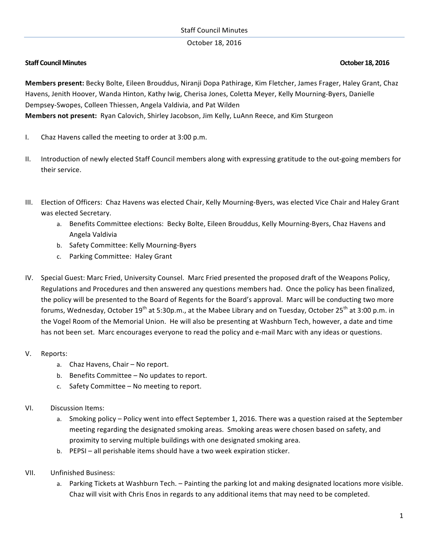## October 18, 2016

# **Staff Council Minutes October 18, 2016**

**Members present:** Becky Bolte, Eileen Brouddus, Niranji Dopa Pathirage, Kim Fletcher, James Frager, Haley Grant, Chaz Havens, Jenith Hoover, Wanda Hinton, Kathy Iwig, Cherisa Jones, Coletta Meyer, Kelly Mourning-Byers, Danielle Dempsey-Swopes, Colleen Thiessen, Angela Valdivia, and Pat Wilden **Members not present:** Ryan Calovich, Shirley Jacobson, Jim Kelly, LuAnn Reece, and Kim Sturgeon

- I. Chaz Havens called the meeting to order at 3:00 p.m.
- II. Introduction of newly elected Staff Council members along with expressing gratitude to the out-going members for their service.
- III. Election of Officers: Chaz Havens was elected Chair, Kelly Mourning-Byers, was elected Vice Chair and Haley Grant was elected Secretary.
	- a. Benefits Committee elections: Becky Bolte, Eileen Brouddus, Kelly Mourning-Byers, Chaz Havens and Angela Valdivia
	- b. Safety Committee: Kelly Mourning-Byers
	- c. Parking Committee: Haley Grant
- IV. Special Guest: Marc Fried, University Counsel. Marc Fried presented the proposed draft of the Weapons Policy, Regulations and Procedures and then answered any questions members had. Once the policy has been finalized, the policy will be presented to the Board of Regents for the Board's approval. Marc will be conducting two more forums, Wednesday, October 19<sup>th</sup> at 5:30p.m., at the Mabee Library and on Tuesday, October 25<sup>th</sup> at 3:00 p.m. in the Vogel Room of the Memorial Union. He will also be presenting at Washburn Tech, however, a date and time has not been set. Marc encourages everyone to read the policy and e-mail Marc with any ideas or questions.

## V. Reports:

- a. Chaz Havens, Chair No report.
- b. Benefits Committee No updates to report.
- c. Safety Committee  $-$  No meeting to report.

## VI. Discussion Items:

- a. Smoking policy Policy went into effect September 1, 2016. There was a question raised at the September meeting regarding the designated smoking areas. Smoking areas were chosen based on safety, and proximity to serving multiple buildings with one designated smoking area.
- b. PEPSI all perishable items should have a two week expiration sticker.
- VII. Unfinished Business:
	- a. Parking Tickets at Washburn Tech. Painting the parking lot and making designated locations more visible. Chaz will visit with Chris Enos in regards to any additional items that may need to be completed.